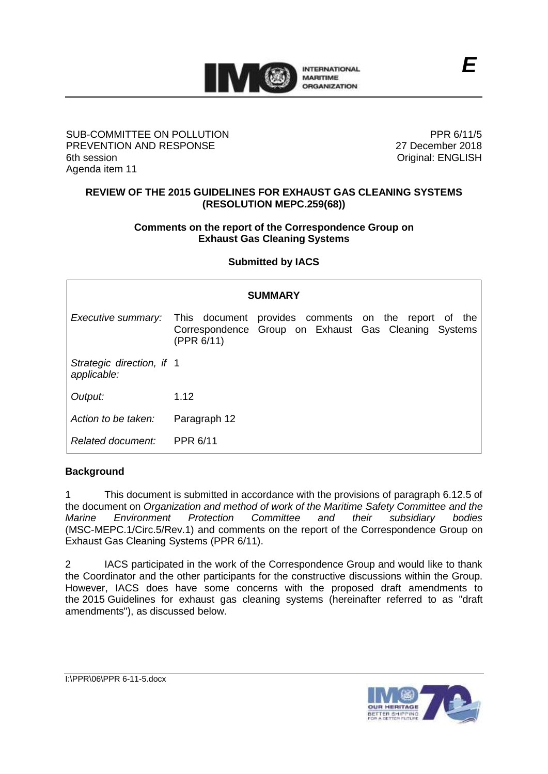

## SUB-COMMITTEE ON POLLUTION PREVENTION AND RESPONSE 6th session Agenda item 11

PPR 6/11/5 27 December 2018 Original: ENGLISH

## **REVIEW OF THE 2015 GUIDELINES FOR EXHAUST GAS CLEANING SYSTEMS (RESOLUTION MEPC.259(68))**

#### **Comments on the report of the Correspondence Group on Exhaust Gas Cleaning Systems**

**Submitted by IACS**

| <b>SUMMARY</b>                           |              |  |                                                                                                              |
|------------------------------------------|--------------|--|--------------------------------------------------------------------------------------------------------------|
| Executive summary:                       | (PPR 6/11)   |  | This document provides comments on the report of the<br>Correspondence Group on Exhaust Gas Cleaning Systems |
| Strategic direction, if 1<br>applicable: |              |  |                                                                                                              |
| Output:                                  | 1.12         |  |                                                                                                              |
| Action to be taken:                      | Paragraph 12 |  |                                                                                                              |
| Related document:                        | PPR 6/11     |  |                                                                                                              |

## **Background**

1 This document is submitted in accordance with the provisions of paragraph 6.12.5 of the document on *Organization and method of work of the Maritime Safety Committee and the Marine Environment Protection Committee and their subsidiary bodies* (MSC-MEPC.1/Circ.5/Rev.1) and comments on the report of the Correspondence Group on Exhaust Gas Cleaning Systems (PPR 6/11).

2 IACS participated in the work of the Correspondence Group and would like to thank the Coordinator and the other participants for the constructive discussions within the Group. However, IACS does have some concerns with the proposed draft amendments to the 2015 Guidelines for exhaust gas cleaning systems (hereinafter referred to as "draft amendments"), as discussed below.



I:\PPR\06\PPR 6-11-5.docx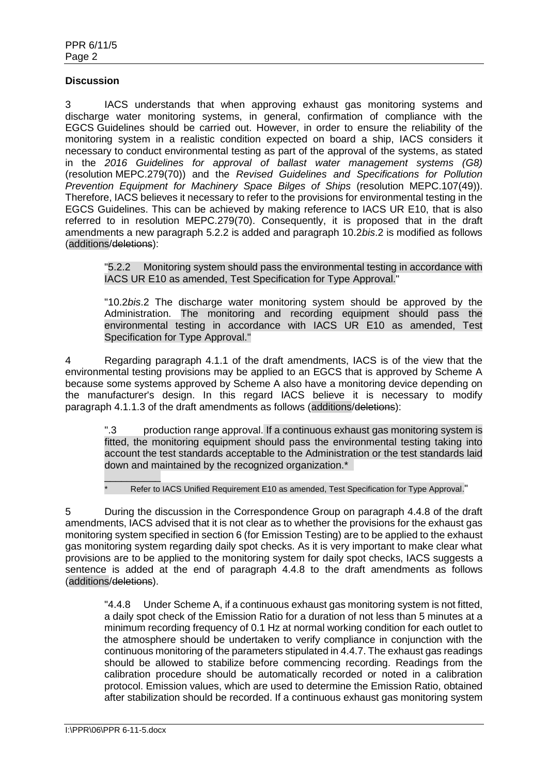#### **Discussion**

3 IACS understands that when approving exhaust gas monitoring systems and discharge water monitoring systems, in general, confirmation of compliance with the EGCS Guidelines should be carried out. However, in order to ensure the reliability of the monitoring system in a realistic condition expected on board a ship, IACS considers it necessary to conduct environmental testing as part of the approval of the systems, as stated in the *2016 Guidelines for approval of ballast water management systems (G8)* (resolution MEPC.279(70)) and the *Revised Guidelines and Specifications for Pollution Prevention Equipment for Machinery Space Bilges of Ships* (resolution MEPC.107(49)). Therefore, IACS believes it necessary to refer to the provisions for environmental testing in the EGCS Guidelines. This can be achieved by making reference to IACS UR E10, that is also referred to in resolution MEPC.279(70). Consequently, it is proposed that in the draft amendments a new paragraph 5.2.2 is added and paragraph 10.2*bis*.2 is modified as follows (additions/deletions):

"5.2.2 Monitoring system should pass the environmental testing in accordance with IACS UR E10 as amended, Test Specification for Type Approval."

"10.2*bis*.2 The discharge water monitoring system should be approved by the Administration. The monitoring and recording equipment should pass the environmental testing in accordance with IACS UR E10 as amended, Test Specification for Type Approval."

4 Regarding paragraph 4.1.1 of the draft amendments, IACS is of the view that the environmental testing provisions may be applied to an EGCS that is approved by Scheme A because some systems approved by Scheme A also have a monitoring device depending on the manufacturer's design. In this regard IACS believe it is necessary to modify paragraph 4.1.1.3 of the draft amendments as follows (additions/deletions):

".3 production range approval. If a continuous exhaust gas monitoring system is fitted, the monitoring equipment should pass the environmental testing taking into account the test standards acceptable to the Administration or the test standards laid down and maintained by the recognized organization.\*

Refer to IACS Unified Requirement E10 as amended, Test Specification for Type Approval."

5 During the discussion in the Correspondence Group on paragraph 4.4.8 of the draft amendments, IACS advised that it is not clear as to whether the provisions for the exhaust gas monitoring system specified in section 6 (for Emission Testing) are to be applied to the exhaust gas monitoring system regarding daily spot checks. As it is very important to make clear what provisions are to be applied to the monitoring system for daily spot checks, IACS suggests a sentence is added at the end of paragraph 4.4.8 to the draft amendments as follows (additions/deletions).

"4.4.8 Under Scheme A, if a continuous exhaust gas monitoring system is not fitted, a daily spot check of the Emission Ratio for a duration of not less than 5 minutes at a minimum recording frequency of 0.1 Hz at normal working condition for each outlet to the atmosphere should be undertaken to verify compliance in conjunction with the continuous monitoring of the parameters stipulated in 4.4.7. The exhaust gas readings should be allowed to stabilize before commencing recording. Readings from the calibration procedure should be automatically recorded or noted in a calibration protocol. Emission values, which are used to determine the Emission Ratio, obtained after stabilization should be recorded. If a continuous exhaust gas monitoring system

 $\overline{\phantom{a}}$  , where  $\overline{\phantom{a}}$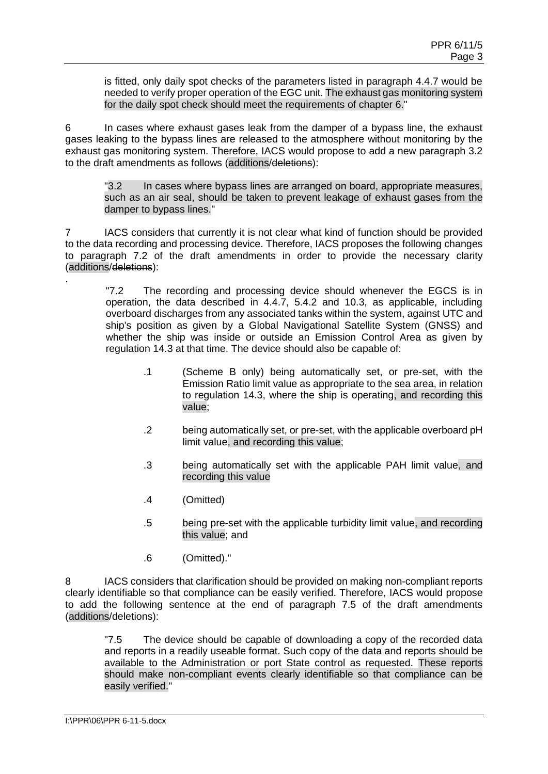is fitted, only daily spot checks of the parameters listed in paragraph 4.4.7 would be needed to verify proper operation of the EGC unit. The exhaust gas monitoring system for the daily spot check should meet the requirements of chapter 6."

6 In cases where exhaust gases leak from the damper of a bypass line, the exhaust gases leaking to the bypass lines are released to the atmosphere without monitoring by the exhaust gas monitoring system. Therefore, IACS would propose to add a new paragraph 3.2 to the draft amendments as follows (additions/deletions):

"3.2 In cases where bypass lines are arranged on board, appropriate measures, such as an air seal, should be taken to prevent leakage of exhaust gases from the damper to bypass lines."

7 IACS considers that currently it is not clear what kind of function should be provided to the data recording and processing device. Therefore, IACS proposes the following changes to paragraph 7.2 of the draft amendments in order to provide the necessary clarity (additions/deletions):

"7.2 The recording and processing device should whenever the EGCS is in operation, the data described in 4.4.7, 5.4.2 and 10.3, as applicable, including overboard discharges from any associated tanks within the system, against UTC and ship's position as given by a Global Navigational Satellite System (GNSS) and whether the ship was inside or outside an Emission Control Area as given by regulation 14.3 at that time. The device should also be capable of:

- .1 (Scheme B only) being automatically set, or pre-set, with the Emission Ratio limit value as appropriate to the sea area, in relation to regulation 14.3, where the ship is operating, and recording this value;
- .2 being automatically set, or pre-set, with the applicable overboard pH limit value, and recording this value;
- .3 being automatically set with the applicable PAH limit value, and recording this value
- .4 (Omitted)
- .5 being pre-set with the applicable turbidity limit value, and recording this value; and
- .6 (Omitted)."

8 IACS considers that clarification should be provided on making non-compliant reports clearly identifiable so that compliance can be easily verified. Therefore, IACS would propose to add the following sentence at the end of paragraph 7.5 of the draft amendments (additions/deletions):

"7.5 The device should be capable of downloading a copy of the recorded data and reports in a readily useable format. Such copy of the data and reports should be available to the Administration or port State control as requested. These reports should make non-compliant events clearly identifiable so that compliance can be easily verified."

.